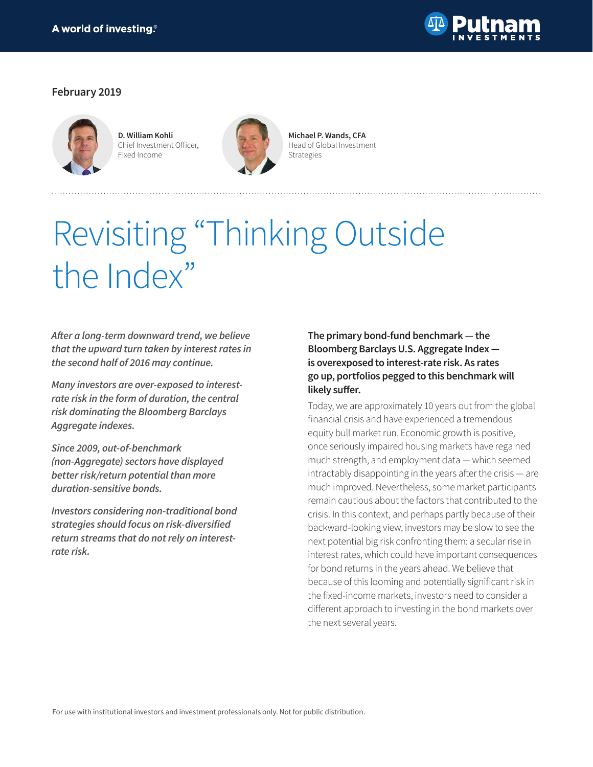

## **February 2019**



**D. William Kohli** Chief Investment Officer, Fixed Income



**Michael P. Wands, CFA** Head of Global Investment Strategies

# Revisiting "Thinking Outside the Index"

**After a long-term downward trend, we believe that the upward turn taken by interest rates in the second half of 2016 may continue.**

**Many investors are over-exposed to interestrate risk in the form of duration, the central risk dominating the Bloomberg Barclays Aggregate indexes.**

**Since 2009, out-of-benchmark (non-Aggregate) sectors have displayed better risk/return potential than more duration-sensitive bonds.**

**Investors considering non-traditional bond strategies should focus on risk-diversified return streams that do not rely on interestrate risk.** 

# **The primary bond-fund benchmark — the Bloomberg Barclays U.S. Aggregate Index is overexposed to interest-rate risk. As rates go up, portfolios pegged to this benchmark will likely suffer.**

Today, we are approximately 10 years out from the global financial crisis and have experienced a tremendous equity bull market run. Economic growth is positive, once seriously impaired housing markets have regained much strength, and employment data — which seemed intractably disappointing in the years after the crisis — are much improved. Nevertheless, some market participants remain cautious about the factors that contributed to the crisis. In this context, and perhaps partly because of their backward-looking view, investors may be slow to see the next potential big risk confronting them: a secular rise in interest rates, which could have important consequences for bond returns in the years ahead. We believe that because of this looming and potentially significant risk in the fixed-income markets, investors need to consider a different approach to investing in the bond markets over the next several years.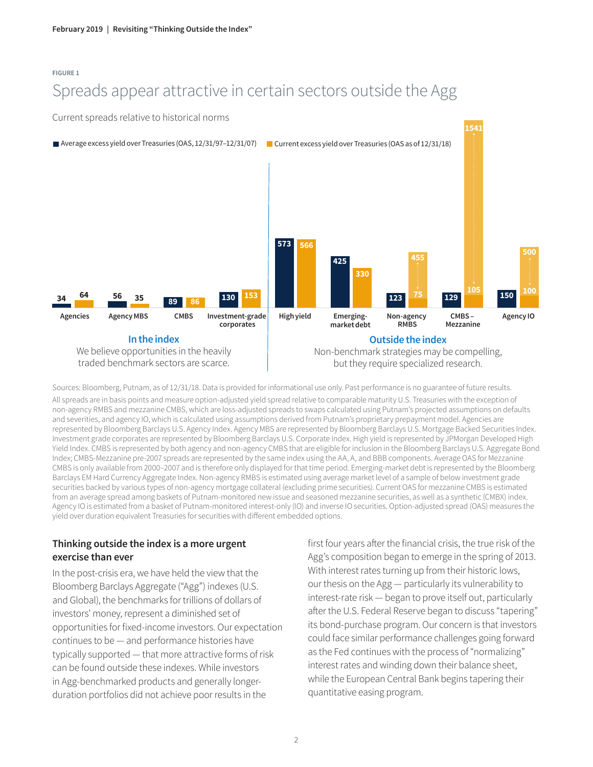#### **FIGURE 1**

# Spreads appear attractive in certain sectors outside the Agg

Current spreads relative to historical norms



Sources: Bloomberg, Putnam, as of 12/31/18. Data is provided for informational use only. Past performance is no guarantee of future results.

All spreads are in basis points and measure option-adjusted yield spread relative to comparable maturity U.S. Treasuries with the exception of non-agency RMBS and mezzanine CMBS, which are loss-adjusted spreads to swaps calculated using Putnam's projected assumptions on defaults and severities, and agency IO, which is calculated using assumptions derived from Putnam's proprietary prepayment model. Agencies are represented by Bloomberg Barclays U.S. Agency Index. Agency MBS are represented by Bloomberg Barclays U.S. Mortgage Backed Securities Index. Investment grade corporates are represented by Bloomberg Barclays U.S. Corporate Index. High yield is represented by JPMorgan Developed High Yield Index. CMBS is represented by both agency and non-agency CMBS that are eligible for inclusion in the Bloomberg Barclays U.S. Aggregate Bond Index; CMBS-Mezzanine pre-2007 spreads are represented by the same index using the AA, A, and BBB components. Average OAS for Mezzanine CMBS is only available from 2000–2007 and is therefore only displayed for that time period. Emerging-market debt is represented by the Bloomberg Barclays EM Hard Currency Aggregate Index. Non-agency RMBS is estimated using average market level of a sample of below investment grade securities backed by various types of non-agency mortgage collateral (excluding prime securities). Current OAS for mezzanine CMBS is estimated from an average spread among baskets of Putnam-monitored new issue and seasoned mezzanine securities, as well as a synthetic (CMBX) index. Agency IO is estimated from a basket of Putnam-monitored interest-only (IO) and inverse IO securities. Option-adjusted spread (OAS) measures the yield over duration equivalent Treasuries for securities with different embedded options.

# **Thinking outside the index is a more urgent exercise than ever**

In the post-crisis era, we have held the view that the Bloomberg Barclays Aggregate ("Agg") indexes (U.S. and Global), the benchmarks for trillions of dollars of investors' money, represent a diminished set of opportunities for fixed-income investors. Our expectation continues to be — and performance histories have typically supported — that more attractive forms of risk can be found outside these indexes. While investors in Agg-benchmarked products and generally longerduration portfolios did not achieve poor results in the

first four years after the financial crisis, the true risk of the Agg's composition began to emerge in the spring of 2013. With interest rates turning up from their historic lows, our thesis on the Agg — particularly its vulnerability to interest-rate risk — began to prove itself out, particularly after the U.S. Federal Reserve began to discuss "tapering" its bond-purchase program. Our concern is that investors could face similar performance challenges going forward as the Fed continues with the process of "normalizing" interest rates and winding down their balance sheet, while the European Central Bank begins tapering their quantitative easing program.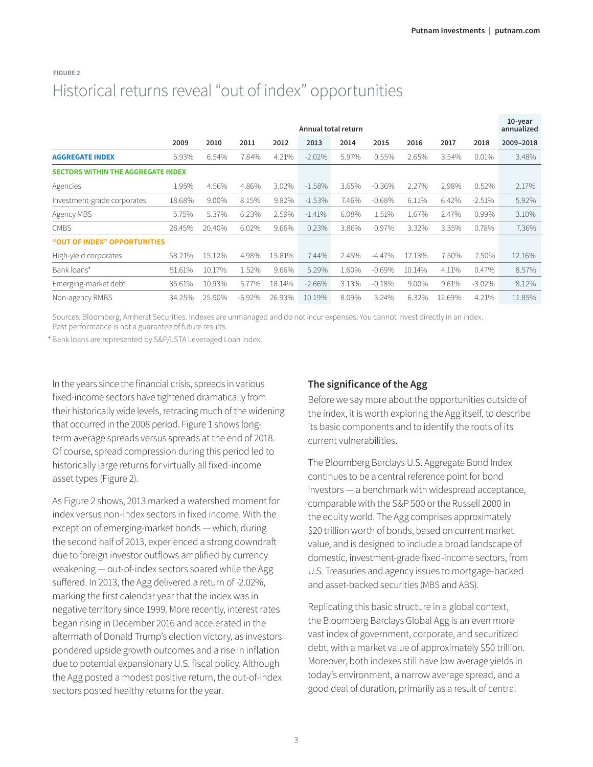|                                           | Annual total return |        |          |        |          |       |          |        |        |          |           |  |
|-------------------------------------------|---------------------|--------|----------|--------|----------|-------|----------|--------|--------|----------|-----------|--|
|                                           | 2009                | 2010   | 2011     | 2012   | 2013     | 2014  | 2015     | 2016   | 2017   | 2018     | 2009-2018 |  |
| <b>AGGREGATE INDEX</b>                    | 5.93%               | 6.54%  | 7.84%    | 4.21%  | $-2.02%$ | 5.97% | 0.55%    | 2.65%  | 3.54%  | 0.01%    | 3.48%     |  |
| <b>SECTORS WITHIN THE AGGREGATE INDEX</b> |                     |        |          |        |          |       |          |        |        |          |           |  |
| Agencies                                  | 1.95%               | 4.56%  | 4.86%    | 3.02%  | $-1.58%$ | 3.65% | $-0.36%$ | 2.27%  | 2.98%  | 0.52%    | 2.17%     |  |
| Investment-grade corporates               | 18.68%              | 9.00%  | 8.15%    | 9.82%  | $-1.53%$ | 7.46% | $-0.68%$ | 6.11%  | 6.42%  | $-2.51%$ | 5.92%     |  |
| Agency MBS                                | 5.75%               | 5.37%  | 6.23%    | 2.59%  | $-1.41%$ | 6.08% | 1.51%    | 1.67%  | 2.47%  | 0.99%    | 3.10%     |  |
| <b>CMBS</b>                               | 28.45%              | 20.40% | 6.02%    | 9.66%  | 0.23%    | 3.86% | 0.97%    | 3.32%  | 3.35%  | 0.78%    | 7.36%     |  |
| "OUT OF INDEX" OPPORTUNITIES              |                     |        |          |        |          |       |          |        |        |          |           |  |
| High-yield corporates                     | 58.21%              | 15.12% | 4.98%    | 15.81% | 7.44%    | 2.45% | $-4.47%$ | 17.13% | 7.50%  | 7.50%    | 12.16%    |  |
| Bank loans*                               | 51.61%              | 10.17% | 1.52%    | 9.66%  | 5.29%    | 1.60% | $-0.69%$ | 10.14% | 4.11%  | 0.47%    | 8.57%     |  |
| Emerging-market debt                      | 35.61%              | 10.93% | 5.77%    | 18.14% | $-2.66%$ | 3.13% | $-0.18%$ | 9.00%  | 9.61%  | $-3.02%$ | 8.12%     |  |
| Non-agency RMBS                           | 34.25%              | 25.90% | $-6.92%$ | 26.93% | 10.19%   | 8.09% | 3.24%    | 6.32%  | 12.69% | 4.21%    | 11.85%    |  |

# **FIGURE 2** Historical returns reveal "out of index" opportunities

Sources: Bloomberg, Amherst Securities. Indexes are unmanaged and do not incur expenses. You cannot invest directly in an index. Past performance is not a guarantee of future results.

Bank loans are represented by S&P/LSTA Leveraged Loan Index. 1

In the years since the financial crisis, spreads in various fixed-income sectors have tightened dramatically from their historically wide levels, retracing much of the widening that occurred in the 2008 period. Figure 1 shows longterm average spreads versus spreads at the end of 2018. Of course, spread compression during this period led to historically large returns for virtually all fixed-income asset types (Figure 2).

As Figure 2 shows, 2013 marked a watershed moment for index versus non-index sectors in fixed income. With the exception of emerging-market bonds — which, during the second half of 2013, experienced a strong downdraft due to foreign investor outflows amplified by currency weakening — out-of-index sectors soared while the Agg suffered. In 2013, the Agg delivered a return of -2.02%, marking the first calendar year that the index was in negative territory since 1999. More recently, interest rates began rising in December 2016 and accelerated in the aftermath of Donald Trump's election victory, as investors pondered upside growth outcomes and a rise in inflation due to potential expansionary U.S. fiscal policy. Although the Agg posted a modest positive return, the out-of-index sectors posted healthy returns for the year.

# **The significance of the Agg**

Before we say more about the opportunities outside of the index, it is worth exploring the Agg itself, to describe its basic components and to identify the roots of its current vulnerabilities.

The Bloomberg Barclays U.S. Aggregate Bond Index continues to be a central reference point for bond investors — a benchmark with widespread acceptance, comparable with the S&P 500 or the Russell 2000 in the equity world. The Agg comprises approximately \$20 trillion worth of bonds, based on current market value, and is designed to include a broad landscape of domestic, investment-grade fixed-income sectors, from U.S. Treasuries and agency issues to mortgage-backed and asset-backed securities (MBS and ABS).

Replicating this basic structure in a global context, the Bloomberg Barclays Global Agg is an even more vast index of government, corporate, and securitized debt, with a market value of approximately \$50 trillion. Moreover, both indexes still have low average yields in today's environment, a narrow average spread, and a good deal of duration, primarily as a result of central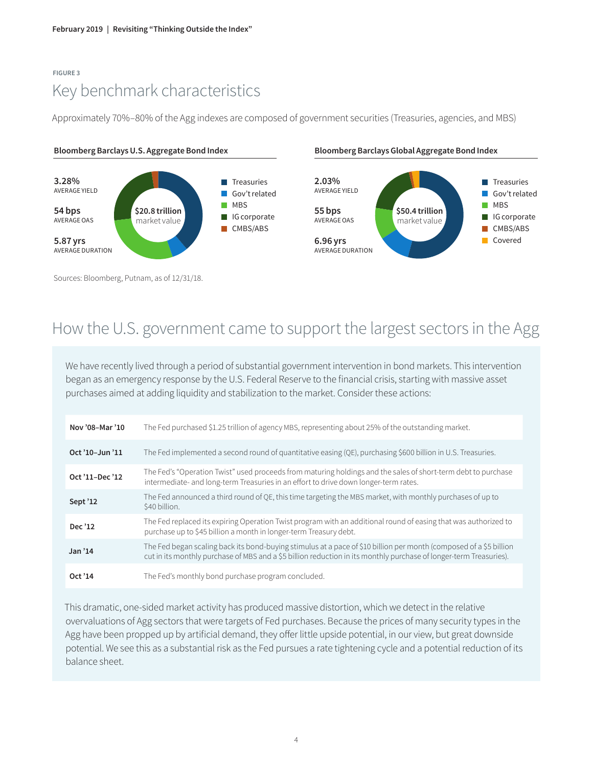# **FIGURE 3** Key benchmark characteristics

Approximately 70%–80% of the Agg indexes are composed of government securities (Treasuries, agencies, and MBS)



**Bloomberg Barclays U.S. Aggregate Bond Index Bloomberg Barclays Global Aggregate Bond Index**



Sources: Bloomberg, Putnam, as of 12/31/18.

# How the U.S. government came to support the largest sectors in the Agg

We have recently lived through a period of substantial government intervention in bond markets. This intervention began as an emergency response by the U.S. Federal Reserve to the financial crisis, starting with massive asset purchases aimed at adding liquidity and stabilization to the market. Consider these actions:

| Nov '08-Mar '10     | The Fed purchased \$1.25 trillion of agency MBS, representing about 25% of the outstanding market.                                                                                                                                       |
|---------------------|------------------------------------------------------------------------------------------------------------------------------------------------------------------------------------------------------------------------------------------|
| Oct '10-Jun '11     | The Fed implemented a second round of quantitative easing (QE), purchasing \$600 billion in U.S. Treasuries.                                                                                                                             |
| Oct '11-Dec '12     | The Fed's "Operation Twist" used proceeds from maturing holdings and the sales of short-term debt to purchase<br>intermediate- and long-term Treasuries in an effort to drive down longer-term rates.                                    |
| Sept '12            | The Fed announced a third round of QE, this time targeting the MBS market, with monthly purchases of up to<br>\$40 billion.                                                                                                              |
| Dec '12             | The Fed replaced its expiring Operation Twist program with an additional round of easing that was authorized to<br>purchase up to \$45 billion a month in longer-term Treasury debt.                                                     |
| Jan <sup>3</sup> 14 | The Fed began scaling back its bond-buying stimulus at a pace of \$10 billion per month (composed of a \$5 billion<br>cut in its monthly purchase of MBS and a \$5 billion reduction in its monthly purchase of longer-term Treasuries). |
| Oct '14             | The Fed's monthly bond purchase program concluded.                                                                                                                                                                                       |

This dramatic, one-sided market activity has produced massive distortion, which we detect in the relative overvaluations of Agg sectors that were targets of Fed purchases. Because the prices of many security types in the Agg have been propped up by artificial demand, they offer little upside potential, in our view, but great downside potential. We see this as a substantial risk as the Fed pursues a rate tightening cycle and a potential reduction of its balance sheet.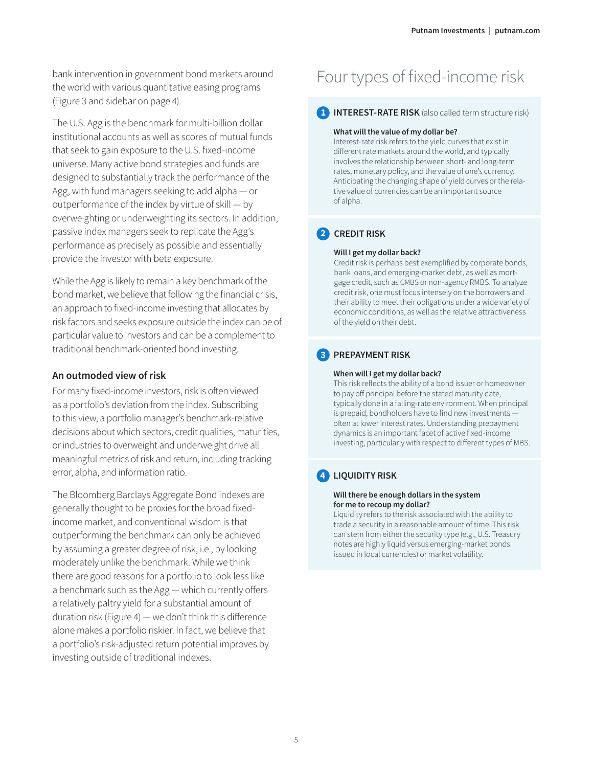bank intervention in government bond markets around the world with various quantitative easing programs (Figure 3 and sidebar on page 4).

The U.S. Agg is the benchmark for multi-billion dollar institutional accounts as well as scores of mutual funds that seek to gain exposure to the U.S. fixed-income universe. Many active bond strategies and funds are designed to substantially track the performance of the Agg, with fund managers seeking to add alpha — or outperformance of the index by virtue of skill — by overweighting or underweighting its sectors. In addition, passive index managers seek to replicate the Agg's performance as precisely as possible and essentially provide the investor with beta exposure.

While the Agg is likely to remain a key benchmark of the bond market, we believe that following the financial crisis, an approach to fixed-income investing that allocates by risk factors and seeks exposure outside the index can be of particular value to investors and can be a complement to traditional benchmark-oriented bond investing.

### **An outmoded view of risk**

For many fixed-income investors, risk is often viewed as a portfolio's deviation from the index. Subscribing to this view, a portfolio manager's benchmark-relative decisions about which sectors, credit qualities, maturities, or industries to overweight and underweight drive all meaningful metrics of risk and return, including tracking error, alpha, and information ratio.

The Bloomberg Barclays Aggregate Bond indexes are generally thought to be proxies for the broad fixedincome market, and conventional wisdom is that outperforming the benchmark can only be achieved by assuming a greater degree of risk, i.e., by looking moderately unlike the benchmark. While we think there are good reasons for a portfolio to look less like a benchmark such as the Agg — which currently offers a relatively paltry yield for a substantial amount of duration risk (Figure 4) — we don't think this difference alone makes a portfolio riskier. In fact, we believe that a portfolio's risk-adjusted return potential improves by investing outside of traditional indexes.

# Four types of fixed-income risk

### **1 INTEREST-RATE RISK** (also called term structure risk)

#### **What will the value of my dollar be?**

Interest-rate risk refers to the yield curves that exist in different rate markets around the world, and typically involves the relationship between short- and long-term rates, monetary policy, and the value of one's currency. Anticipating the changing shape of yield curves or the relative value of currencies can be an important source of alpha.

# **2 CREDIT RISK**

#### **Will I get my dollar back?**

Credit risk is perhaps best exemplified by corporate bonds, bank loans, and emerging-market debt, as well as mortgage credit, such as CMBS or non-agency RMBS. To analyze credit risk, one must focus intensely on the borrowers and their ability to meet their obligations under a wide variety of economic conditions, as well as the relative attractiveness of the yield on their debt.

# **3 PREPAYMENT RISK**

#### **When will I get my dollar back?**

This risk reflects the ability of a bond issuer or homeowner to pay off principal before the stated maturity date, typically done in a falling-rate environment. When principal is prepaid, bondholders have to find new investments often at lower interest rates. Understanding prepayment dynamics is an important facet of active fixed-income investing, particularly with respect to different types of MBS.

# **4 LIQUIDITY RISK**

#### **Will there be enough dollars in the system for me to recoup my dollar?**

Liquidity refers to the risk associated with the ability to trade a security in a reasonable amount of time. This risk can stem from either the security type (e.g., U.S. Treasury notes are highly liquid versus emerging-market bonds issued in local currencies) or market volatility.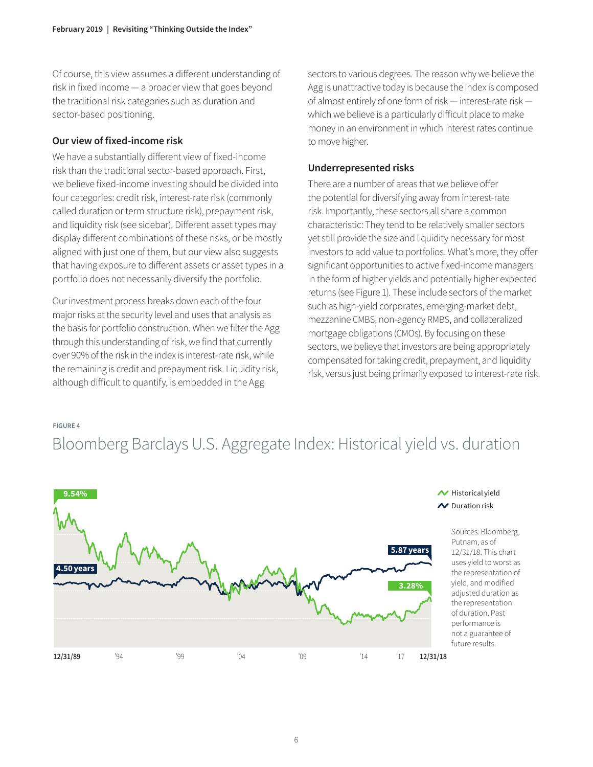Of course, this view assumes a different understanding of risk in fixed income — a broader view that goes beyond the traditional risk categories such as duration and sector-based positioning.

### **Our view of fixed-income risk**

We have a substantially different view of fixed-income risk than the traditional sector-based approach. First, we believe fixed-income investing should be divided into four categories: credit risk, interest-rate risk (commonly called duration or term structure risk), prepayment risk, and liquidity risk (see sidebar). Different asset types may display different combinations of these risks, or be mostly aligned with just one of them, but our view also suggests that having exposure to different assets or asset types in a portfolio does not necessarily diversify the portfolio.

Our investment process breaks down each of the four major risks at the security level and uses that analysis as the basis for portfolio construction. When we filter the Agg through this understanding of risk, we find that currently over 90% of the risk in the index is interest-rate risk, while the remaining is credit and prepayment risk. Liquidity risk, although difficult to quantify, is embedded in the Agg

sectors to various degrees. The reason why we believe the Agg is unattractive today is because the index is composed of almost entirely of one form of risk — interest-rate risk which we believe is a particularly difficult place to make money in an environment in which interest rates continue to move higher.

## **Underrepresented risks**

There are a number of areas that we believe offer the potential for diversifying away from interest-rate risk. Importantly, these sectors all share a common characteristic: They tend to be relatively smaller sectors yet still provide the size and liquidity necessary for most investors to add value to portfolios. What's more, they offer significant opportunities to active fixed-income managers in the form of higher yields and potentially higher expected returns (see Figure 1). These include sectors of the market such as high-yield corporates, emerging-market debt, mezzanine CMBS, non-agency RMBS, and collateralized mortgage obligations (CMOs). By focusing on these sectors, we believe that investors are being appropriately compensated for taking credit, prepayment, and liquidity risk, versus just being primarily exposed to interest-rate risk.

#### **FIGURE 4**

# Bloomberg Barclays U.S. Aggregate Index: Historical yield vs. duration

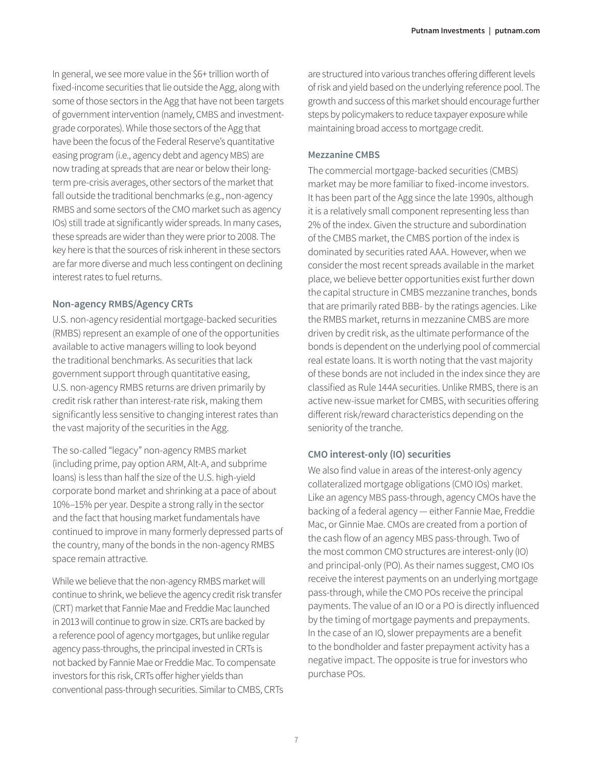In general, we see more value in the \$6+ trillion worth of fixed-income securities that lie outside the Agg, along with some of those sectors in the Agg that have not been targets of government intervention (namely, CMBS and investmentgrade corporates). While those sectors of the Agg that have been the focus of the Federal Reserve's quantitative easing program (i.e., agency debt and agency MBS) are now trading at spreads that are near or below their longterm pre-crisis averages, other sectors of the market that fall outside the traditional benchmarks (e.g., non-agency RMBS and some sectors of the CMO market such as agency IOs) still trade at significantly wider spreads. In many cases, these spreads are wider than they were prior to 2008. The key here is that the sources of risk inherent in these sectors are far more diverse and much less contingent on declining interest rates to fuel returns.

### **Non-agency RMBS/Agency CRTs**

U.S. non-agency residential mortgage-backed securities (RMBS) represent an example of one of the opportunities available to active managers willing to look beyond the traditional benchmarks. As securities that lack government support through quantitative easing, U.S. non-agency RMBS returns are driven primarily by credit risk rather than interest-rate risk, making them significantly less sensitive to changing interest rates than the vast majority of the securities in the Agg.

The so-called "legacy" non-agency RMBS market (including prime, pay option ARM, Alt-A, and subprime loans) is less than half the size of the U.S. high-yield corporate bond market and shrinking at a pace of about 10%–15% per year. Despite a strong rally in the sector and the fact that housing market fundamentals have continued to improve in many formerly depressed parts of the country, many of the bonds in the non-agency RMBS space remain attractive.

While we believe that the non-agency RMBS market will continue to shrink, we believe the agency credit risk transfer (CRT) market that Fannie Mae and Freddie Mac launched in 2013 will continue to grow in size. CRTs are backed by a reference pool of agency mortgages, but unlike regular agency pass-throughs, the principal invested in CRTs is not backed by Fannie Mae or Freddie Mac. To compensate investors for this risk, CRTs offer higher yields than conventional pass-through securities. Similar to CMBS, CRTs are structured into various tranches offering different levels of risk and yield based on the underlying reference pool. The growth and success of this market should encourage further steps by policymakers to reduce taxpayer exposure while maintaining broad access to mortgage credit.

### **Mezzanine CMBS**

The commercial mortgage-backed securities (CMBS) market may be more familiar to fixed-income investors. It has been part of the Agg since the late 1990s, although it is a relatively small component representing less than 2% of the index. Given the structure and subordination of the CMBS market, the CMBS portion of the index is dominated by securities rated AAA. However, when we consider the most recent spreads available in the market place, we believe better opportunities exist further down the capital structure in CMBS mezzanine tranches, bonds that are primarily rated BBB- by the ratings agencies. Like the RMBS market, returns in mezzanine CMBS are more driven by credit risk, as the ultimate performance of the bonds is dependent on the underlying pool of commercial real estate loans. It is worth noting that the vast majority of these bonds are not included in the index since they are classified as Rule 144A securities. Unlike RMBS, there is an active new-issue market for CMBS, with securities offering different risk/reward characteristics depending on the seniority of the tranche.

### **CMO interest-only (IO) securities**

We also find value in areas of the interest-only agency collateralized mortgage obligations (CMO IOs) market. Like an agency MBS pass-through, agency CMOs have the backing of a federal agency — either Fannie Mae, Freddie Mac, or Ginnie Mae. CMOs are created from a portion of the cash flow of an agency MBS pass-through. Two of the most common CMO structures are interest-only (IO) and principal-only (PO). As their names suggest, CMO IOs receive the interest payments on an underlying mortgage pass-through, while the CMO POs receive the principal payments. The value of an IO or a PO is directly influenced by the timing of mortgage payments and prepayments. In the case of an IO, slower prepayments are a benefit to the bondholder and faster prepayment activity has a negative impact. The opposite is true for investors who purchase POs.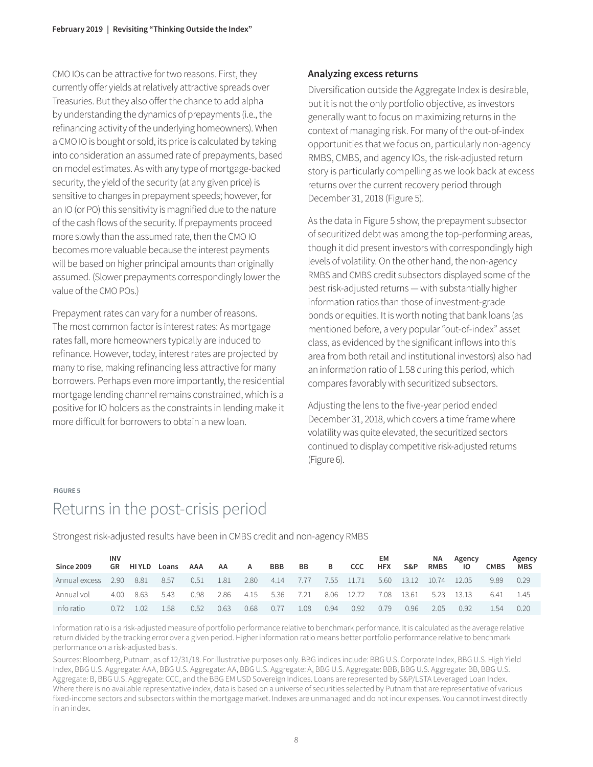CMO IOs can be attractive for two reasons. First, they currently offer yields at relatively attractive spreads over Treasuries. But they also offer the chance to add alpha by understanding the dynamics of prepayments (i.e., the refinancing activity of the underlying homeowners). When a CMO IO is bought or sold, its price is calculated by taking into consideration an assumed rate of prepayments, based on model estimates. As with any type of mortgage-backed security, the yield of the security (at any given price) is sensitive to changes in prepayment speeds; however, for an IO (or PO) this sensitivity is magnified due to the nature of the cash flows of the security. If prepayments proceed more slowly than the assumed rate, then the CMO IO becomes more valuable because the interest payments will be based on higher principal amounts than originally assumed. (Slower prepayments correspondingly lower the value of the CMO POs.)

Prepayment rates can vary for a number of reasons. The most common factor is interest rates: As mortgage rates fall, more homeowners typically are induced to refinance. However, today, interest rates are projected by many to rise, making refinancing less attractive for many borrowers. Perhaps even more importantly, the residential mortgage lending channel remains constrained, which is a positive for IO holders as the constraints in lending make it more difficult for borrowers to obtain a new loan.

### **Analyzing excess returns**

Diversification outside the Aggregate Index is desirable, but it is not the only portfolio objective, as investors generally want to focus on maximizing returns in the context of managing risk. For many of the out-of-index opportunities that we focus on, particularly non-agency RMBS, CMBS, and agency IOs, the risk-adjusted return story is particularly compelling as we look back at excess returns over the current recovery period through December 31, 2018 (Figure 5).

As the data in Figure 5 show, the prepayment subsector of securitized debt was among the top-performing areas, though it did present investors with correspondingly high levels of volatility. On the other hand, the non-agency RMBS and CMBS credit subsectors displayed some of the best risk-adjusted returns — with substantially higher information ratios than those of investment-grade bonds or equities. It is worth noting that bank loans (as mentioned before, a very popular "out-of-index" asset class, as evidenced by the significant inflows into this area from both retail and institutional investors) also had an information ratio of 1.58 during this period, which compares favorably with securitized subsectors.

Adjusting the lens to the five-year period ended December 31, 2018, which covers a time frame where volatility was quite elevated, the securitized sectors continued to display competitive risk-adjusted returns (Figure 6).

#### **FIGURE 5**

# Returns in the post-crisis period

Strongest risk-adjusted results have been in CMBS credit and non-agency RMBS

| <b>Since 2009</b> | <b>INV</b><br>GR | HI YLD | Loans | AAA  | AA   | A    | <b>BBB</b> | BB   | в    | <b>CCC</b> | EM.<br><b>HFX</b> | S&P              | NA.<br><b>RMBS</b> | Agency<br>10 | <b>CMBS</b> | Agency<br>MBS |
|-------------------|------------------|--------|-------|------|------|------|------------|------|------|------------|-------------------|------------------|--------------------|--------------|-------------|---------------|
| Annual excess     | 2.90             | 8.81   | 8.57  | 0.51 | 1.81 | 2.80 | 4.14       | 7.77 |      | 7.55 11.71 |                   | 5.60 13.12 10.74 |                    | 12.05        | 9.89        | 0.29          |
| Annual vol        | 4.00.            | 863    | 5.43  | 0.98 | 2.86 | 4.15 | 5.36       | 7.21 |      | 8.06 12.72 | 7.08              | 13.61            | 5.23               | 13.13        | 6.41        | -45           |
| Info ratio        |                  |        | 1.58  | 0.52 | 0.63 | 0.68 | 0.77       | 1.08 | 0.94 | 0.92       | 0.79              | 0.96             | 2.05               | 0.92         | -54         | 0.20          |

Information ratio is a risk-adjusted measure of portfolio performance relative to benchmark performance. It is calculated as the average relative return divided by the tracking error over a given period. Higher information ratio means better portfolio performance relative to benchmark performance on a risk-adjusted basis.

Sources: Bloomberg, Putnam, as of 12/31/18. For illustrative purposes only. BBG indices include: BBG U.S. Corporate Index, BBG U.S. High Yield Index, BBG U.S. Aggregate: AAA, BBG U.S. Aggregate: AA, BBG U.S. Aggregate: A, BBG U.S. Aggregate: BBB, BBG U.S. Aggregate: BB, BBG U.S. Aggregate: B, BBG U.S. Aggregate: CCC, and the BBG EM USD Sovereign Indices. Loans are represented by S&P/LSTA Leveraged Loan Index. Where there is no available representative index, data is based on a universe of securities selected by Putnam that are representative of various fixed-income sectors and subsectors within the mortgage market. Indexes are unmanaged and do not incur expenses. You cannot invest directly in an index.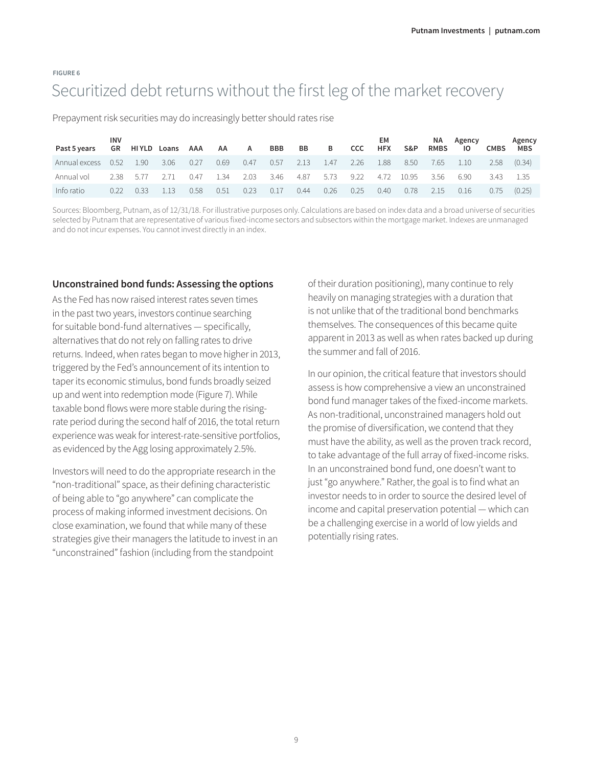# **FIGURE 6** Securitized debt returns without the first leg of the market recovery

Prepayment risk securities may do increasingly better should rates rise

| Past 5 years  | <b>INV</b><br>GR. |      | HIYLD Loans | AAA  | AA   | A    | <b>BBB</b> | BB   | B    | <b>CCC</b> | EM.<br><b>HFX</b> | S&P   | NA.<br><b>RMBS</b> | Agency<br>10 | <b>CMBS</b> | Agency<br><b>MBS</b> |
|---------------|-------------------|------|-------------|------|------|------|------------|------|------|------------|-------------------|-------|--------------------|--------------|-------------|----------------------|
| Annual excess | 0.52              | 1.90 | 3.06        | 0.27 | 0.69 | 0.47 | 0.57       | 2.13 | 1.47 | 2.26       | 1.88              | 8.50  | 7.65               | 1.10         | 2.58        | (0.34)               |
| Annual vol    | 2.38              | 5.77 | 2.71        | 0.47 | 1.34 | 2.03 | 3.46       | 4.87 | 5.73 | 9.22       | 4.72              | 10.95 | 3.56               | 6.90         | 3.43        | - 1.35               |
| Info ratio    | N 22              | U 33 | 113         | 0.58 | 0.51 | 0.23 | 0.17       | 0.44 | 0.26 | 0.25       | 0.40              | 0.78  | 2.15               | 0.16         | 0.75        | (0.25)               |

Sources: Bloomberg, Putnam, as of 12/31/18. For illustrative purposes only. Calculations are based on index data and a broad universe of securities selected by Putnam that are representative of various fixed-income sectors and subsectors within the mortgage market. Indexes are unmanaged and do not incur expenses. You cannot invest directly in an index.

#### **Unconstrained bond funds: Assessing the options**

As the Fed has now raised interest rates seven times in the past two years, investors continue searching for suitable bond-fund alternatives — specifically, alternatives that do not rely on falling rates to drive returns. Indeed, when rates began to move higher in 2013, triggered by the Fed's announcement of its intention to taper its economic stimulus, bond funds broadly seized up and went into redemption mode (Figure 7). While taxable bond flows were more stable during the risingrate period during the second half of 2016, the total return experience was weak for interest-rate-sensitive portfolios, as evidenced by the Agg losing approximately 2.5%.

Investors will need to do the appropriate research in the "non-traditional" space, as their defining characteristic of being able to "go anywhere" can complicate the process of making informed investment decisions. On close examination, we found that while many of these strategies give their managers the latitude to invest in an "unconstrained" fashion (including from the standpoint

of their duration positioning), many continue to rely heavily on managing strategies with a duration that is not unlike that of the traditional bond benchmarks themselves. The consequences of this became quite apparent in 2013 as well as when rates backed up during the summer and fall of 2016.

In our opinion, the critical feature that investors should assess is how comprehensive a view an unconstrained bond fund manager takes of the fixed-income markets. As non-traditional, unconstrained managers hold out the promise of diversification, we contend that they must have the ability, as well as the proven track record, to take advantage of the full array of fixed-income risks. In an unconstrained bond fund, one doesn't want to just "go anywhere." Rather, the goal is to find what an investor needs to in order to source the desired level of income and capital preservation potential — which can be a challenging exercise in a world of low yields and potentially rising rates.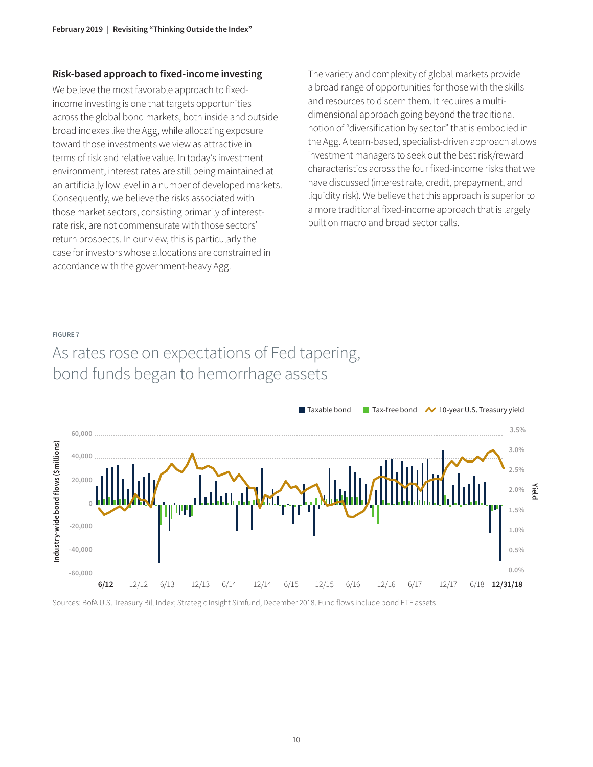### **Risk-based approach to fixed-income investing**

We believe the most favorable approach to fixedincome investing is one that targets opportunities across the global bond markets, both inside and outside broad indexes like the Agg, while allocating exposure toward those investments we view as attractive in terms of risk and relative value. In today's investment environment, interest rates are still being maintained at an artificially low level in a number of developed markets. Consequently, we believe the risks associated with those market sectors, consisting primarily of interestrate risk, are not commensurate with those sectors' return prospects. In our view, this is particularly the case for investors whose allocations are constrained in accordance with the government-heavy Agg.

The variety and complexity of global markets provide a broad range of opportunities for those with the skills and resources to discern them. It requires a multidimensional approach going beyond the traditional notion of "diversification by sector" that is embodied in the Agg. A team-based, specialist-driven approach allows investment managers to seek out the best risk/reward characteristics across the four fixed-income risks that we have discussed (interest rate, credit, prepayment, and liquidity risk). We believe that this approach is superior to a more traditional fixed-income approach that is largely built on macro and broad sector calls.

#### **FIGURE 7**

# As rates rose on expectations of Fed tapering, bond funds began to hemorrhage assets



Sources: BofA U.S. Treasury Bill Index; Strategic Insight Simfund, December 2018. Fund flows include bond ETF assets.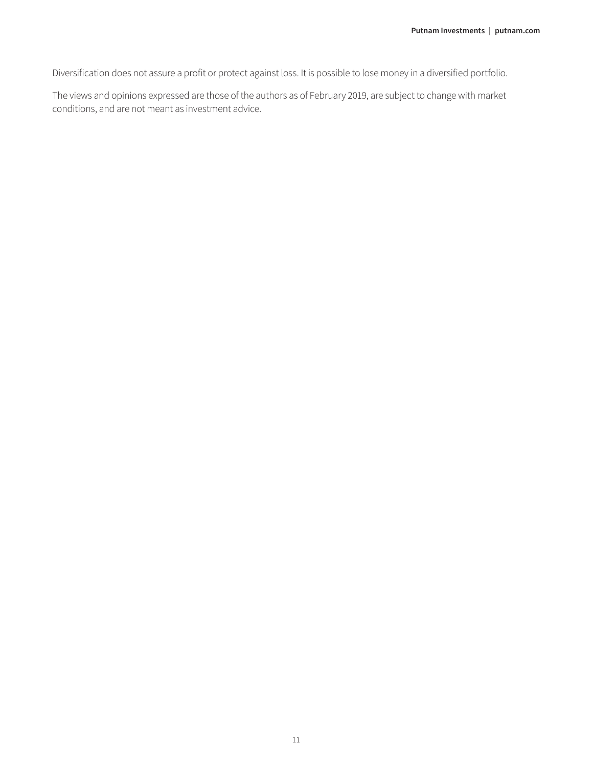Diversification does not assure a profit or protect against loss. It is possible to lose money in a diversified portfolio.

The views and opinions expressed are those of the authors as of February 2019, are subject to change with market conditions, and are not meant as investment advice.